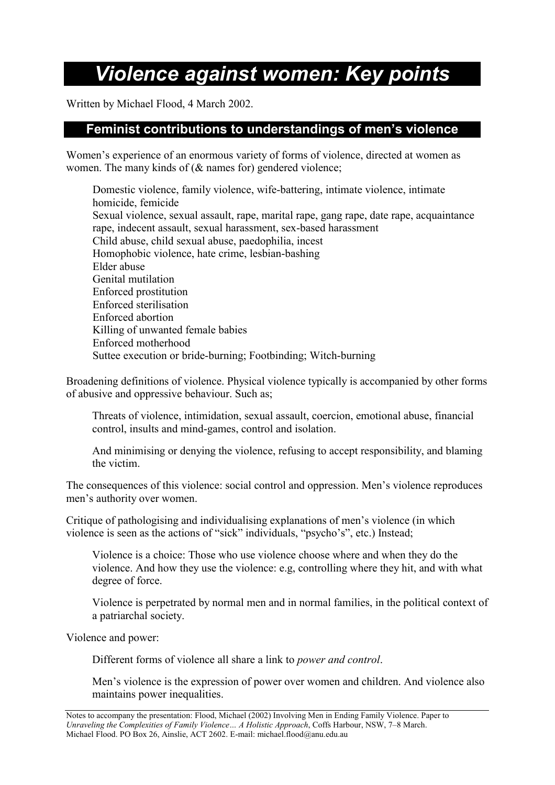# *Violence against women: Key points*

Written by Michael Flood, 4 March 2002.

# **Feminist contributions to understandings of men's violence**

Women's experience of an enormous variety of forms of violence, directed at women as women. The many kinds of (& names for) gendered violence;

Domestic violence, family violence, wife-battering, intimate violence, intimate homicide, femicide Sexual violence, sexual assault, rape, marital rape, gang rape, date rape, acquaintance rape, indecent assault, sexual harassment, sex-based harassment Child abuse, child sexual abuse, paedophilia, incest Homophobic violence, hate crime, lesbian-bashing Elder abuse Genital mutilation Enforced prostitution Enforced sterilisation Enforced abortion Killing of unwanted female babies Enforced motherhood Suttee execution or bride-burning; Footbinding; Witch-burning

Broadening definitions of violence. Physical violence typically is accompanied by other forms of abusive and oppressive behaviour. Such as;

Threats of violence, intimidation, sexual assault, coercion, emotional abuse, financial control, insults and mind-games, control and isolation.

And minimising or denying the violence, refusing to accept responsibility, and blaming the victim.

The consequences of this violence: social control and oppression. Men's violence reproduces men's authority over women.

Critique of pathologising and individualising explanations of men's violence (in which violence is seen as the actions of "sick" individuals, "psycho's", etc.) Instead;

Violence is a choice: Those who use violence choose where and when they do the violence. And how they use the violence: e.g, controlling where they hit, and with what degree of force.

Violence is perpetrated by normal men and in normal families, in the political context of a patriarchal society.

Violence and power:

Different forms of violence all share a link to *power and control*.

Men's violence is the expression of power over women and children. And violence also maintains power inequalities.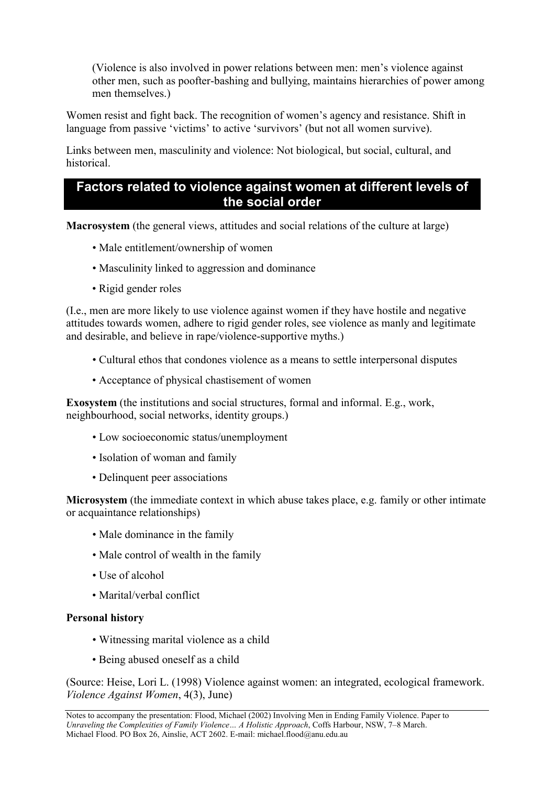(Violence is also involved in power relations between men: men's violence against other men, such as poofter-bashing and bullying, maintains hierarchies of power among men themselves.)

Women resist and fight back. The recognition of women's agency and resistance. Shift in language from passive 'victims' to active 'survivors' (but not all women survive).

Links between men, masculinity and violence: Not biological, but social, cultural, and historical.

#### **Factors related to violence against women at different levels of the social order**

**Macrosystem** (the general views, attitudes and social relations of the culture at large)

- Male entitlement/ownership of women
- Masculinity linked to aggression and dominance
- Rigid gender roles

(I.e., men are more likely to use violence against women if they have hostile and negative attitudes towards women, adhere to rigid gender roles, see violence as manly and legitimate and desirable, and believe in rape/violence-supportive myths.)

- Cultural ethos that condones violence as a means to settle interpersonal disputes
- Acceptance of physical chastisement of women

**Exosystem** (the institutions and social structures, formal and informal. E.g., work, neighbourhood, social networks, identity groups.)

- Low socioeconomic status/unemployment
- Isolation of woman and family
- Delinquent peer associations

**Microsystem** (the immediate context in which abuse takes place, e.g. family or other intimate or acquaintance relationships)

- Male dominance in the family
- Male control of wealth in the family
- Use of alcohol
- Marital/verbal conflict

#### **Personal history**

- Witnessing marital violence as a child
- Being abused oneself as a child

(Source: Heise, Lori L. (1998) Violence against women: an integrated, ecological framework. *Violence Against Women*, 4(3), June)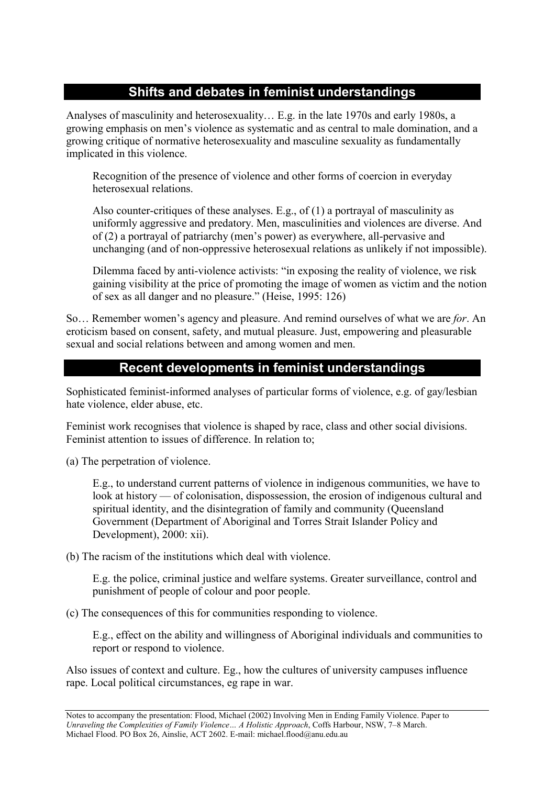# **Shifts and debates in feminist understandings**

Analyses of masculinity and heterosexuality… E.g. in the late 1970s and early 1980s, a growing emphasis on men's violence as systematic and as central to male domination, and a growing critique of normative heterosexuality and masculine sexuality as fundamentally implicated in this violence.

Recognition of the presence of violence and other forms of coercion in everyday heterosexual relations.

Also counter-critiques of these analyses. E.g., of (1) a portrayal of masculinity as uniformly aggressive and predatory. Men, masculinities and violences are diverse. And of (2) a portrayal of patriarchy (men's power) as everywhere, all-pervasive and unchanging (and of non-oppressive heterosexual relations as unlikely if not impossible).

Dilemma faced by anti-violence activists: "in exposing the reality of violence, we risk gaining visibility at the price of promoting the image of women as victim and the notion of sex as all danger and no pleasure." (Heise, 1995: 126)

So… Remember women's agency and pleasure. And remind ourselves of what we are *for*. An eroticism based on consent, safety, and mutual pleasure. Just, empowering and pleasurable sexual and social relations between and among women and men.

# **Recent developments in feminist understandings**

Sophisticated feminist-informed analyses of particular forms of violence, e.g. of gay/lesbian hate violence, elder abuse, etc.

Feminist work recognises that violence is shaped by race, class and other social divisions. Feminist attention to issues of difference. In relation to;

(a) The perpetration of violence.

E.g., to understand current patterns of violence in indigenous communities, we have to look at history — of colonisation, dispossession, the erosion of indigenous cultural and spiritual identity, and the disintegration of family and community (Queensland Government (Department of Aboriginal and Torres Strait Islander Policy and Development), 2000: xii).

(b) The racism of the institutions which deal with violence.

E.g. the police, criminal justice and welfare systems. Greater surveillance, control and punishment of people of colour and poor people.

(c) The consequences of this for communities responding to violence.

E.g., effect on the ability and willingness of Aboriginal individuals and communities to report or respond to violence.

Also issues of context and culture. Eg., how the cultures of university campuses influence rape. Local political circumstances, eg rape in war.